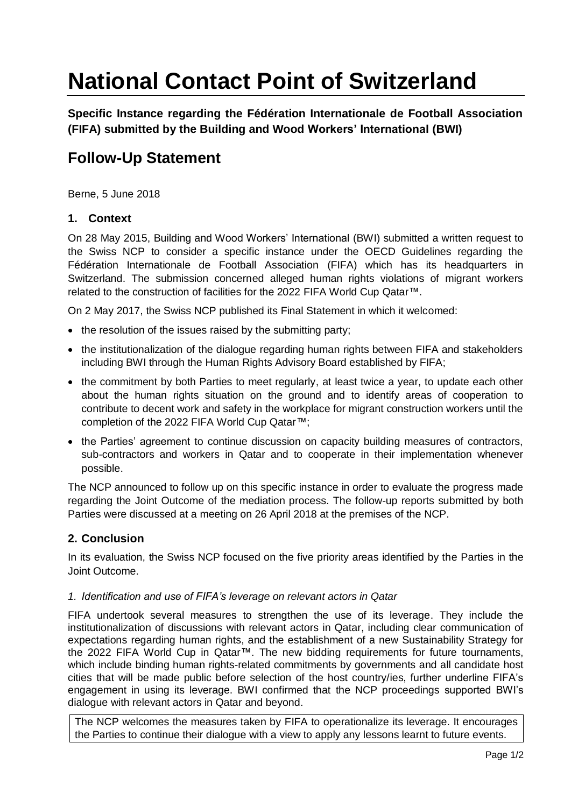# **National Contact Point of Switzerland**

**Specific Instance regarding the Fédération Internationale de Football Association (FIFA) submitted by the Building and Wood Workers' International (BWI)**

# **Follow-Up Statement**

Berne, 5 June 2018

## **1. Context**

On 28 May 2015, Building and Wood Workers' International (BWI) submitted a written request to the Swiss NCP to consider a specific instance under the OECD Guidelines regarding the Fédération Internationale de Football Association (FIFA) which has its headquarters in Switzerland. The submission concerned alleged human rights violations of migrant workers related to the construction of facilities for the 2022 FIFA World Cup Qatar™.

On 2 May 2017, the Swiss NCP published its Final Statement in which it welcomed:

- the resolution of the issues raised by the submitting party;
- the institutionalization of the dialogue regarding human rights between FIFA and stakeholders including BWI through the Human Rights Advisory Board established by FIFA;
- the commitment by both Parties to meet regularly, at least twice a year, to update each other about the human rights situation on the ground and to identify areas of cooperation to contribute to decent work and safety in the workplace for migrant construction workers until the completion of the 2022 FIFA World Cup Qatar™;
- the Parties' agreement to continue discussion on capacity building measures of contractors, sub-contractors and workers in Qatar and to cooperate in their implementation whenever possible.

The NCP announced to follow up on this specific instance in order to evaluate the progress made regarding the Joint Outcome of the mediation process. The follow-up reports submitted by both Parties were discussed at a meeting on 26 April 2018 at the premises of the NCP.

# **2. Conclusion**

In its evaluation, the Swiss NCP focused on the five priority areas identified by the Parties in the Joint Outcome.

#### *1. Identification and use of FIFA's leverage on relevant actors in Qatar*

FIFA undertook several measures to strengthen the use of its leverage. They include the institutionalization of discussions with relevant actors in Qatar, including clear communication of expectations regarding human rights, and the establishment of a new Sustainability Strategy for the 2022 FIFA World Cup in Qatar™. The new bidding requirements for future tournaments, which include binding human rights-related commitments by governments and all candidate host cities that will be made public before selection of the host country/ies, further underline FIFA's engagement in using its leverage. BWI confirmed that the NCP proceedings supported BWI's dialogue with relevant actors in Qatar and beyond.

The NCP welcomes the measures taken by FIFA to operationalize its leverage. It encourages the Parties to continue their dialogue with a view to apply any lessons learnt to future events.